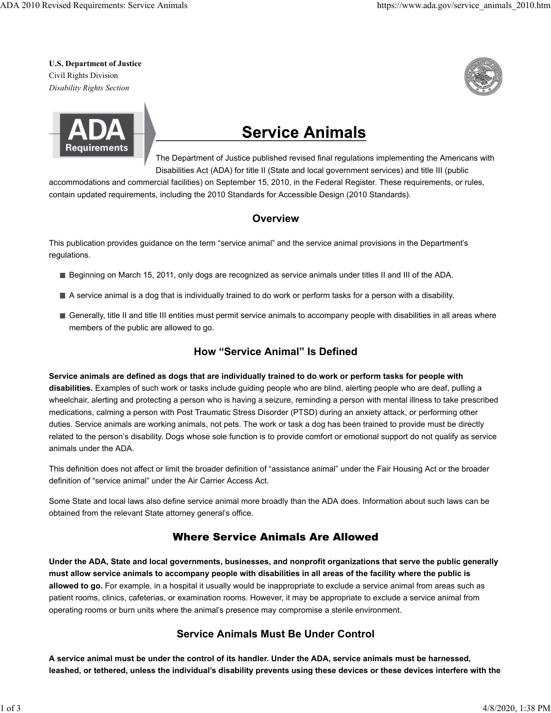**U.S. Department of Justice** Civil Rights Division *Disability Rights Section*





# **Service Animals**

The Department of Justice published revised final regulations implementing the Americans with Disabilities Act (ADA) for title II (State and local government services) and title III (public

accommodations and commercial facilities) on September 15, 2010, in the Federal Register. These requirements, or rules, contain updated requirements, including the 2010 Standards for Accessible Design (2010 Standards).

# **Overview**

This publication provides guidance on the term "service animal" and the service animal provisions in the Department's regulations.

- Beginning on March 15, 2011, only dogs are recognized as service animals under titles II and III of the ADA.
- A service animal is a dog that is individually trained to do work or perform tasks for a person with a disability.
- Generally, title II and title III entities must permit service animals to accompany people with disabilities in all areas where members of the public are allowed to go.

## **How "Service Animal" Is Defined**

**Service animals are defined as dogs that are individually trained to do work or perform tasks for people with disabilities.** Examples of such work or tasks include guiding people who are blind, alerting people who are deaf, pulling a wheelchair, alerting and protecting a person who is having a seizure, reminding a person with mental illness to take prescribed medications, calming a person with Post Traumatic Stress Disorder (PTSD) during an anxiety attack, or performing other duties. Service animals are working animals, not pets. The work or task a dog has been trained to provide must be directly related to the person's disability. Dogs whose sole function is to provide comfort or emotional support do not qualify as service animals under the ADA.

This definition does not affect or limit the broader definition of "assistance animal" under the Fair Housing Act or the broader definition of "service animal" under the Air Carrier Access Act.

Some State and local laws also define service animal more broadly than the ADA does. Information about such laws can be obtained from the relevant State attorney general's office.

# Where Service Animals Are Allowed

**Under the ADA, State and local governments, businesses, and nonprofit organizations that serve the public generally must allow service animals to accompany people with disabilities in all areas of the facility where the public is allowed to go.** For example, in a hospital it usually would be inappropriate to exclude a service animal from areas such as patient rooms, clinics, cafeterias, or examination rooms. However, it may be appropriate to exclude a service animal from operating rooms or burn units where the animal's presence may compromise a sterile environment.

# **Service Animals Must Be Under Control**

**A service animal must be under the control of its handler. Under the ADA, service animals must be harnessed, leashed, or tethered, unless the individual's disability prevents using these devices or these devices interfere with the**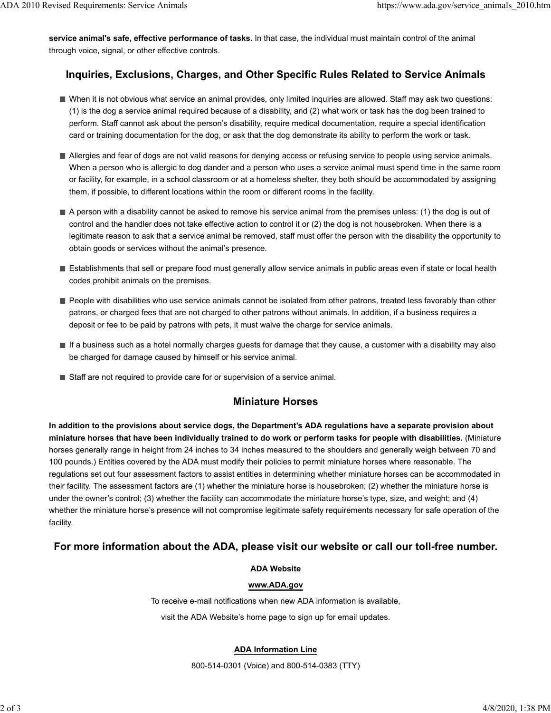**service animal's safe, effective performance of tasks.** In that case, the individual must maintain control of the animal through voice, signal, or other effective controls.

## **Inquiries, Exclusions, Charges, and Other Specific Rules Related to Service Animals**

- When it is not obvious what service an animal provides, only limited inquiries are allowed. Staff may ask two questions: (1) is the dog a service animal required because of a disability, and (2) what work or task has the dog been trained to perform. Staff cannot ask about the person's disability, require medical documentation, require a special identification card or training documentation for the dog, or ask that the dog demonstrate its ability to perform the work or task.
- Allergies and fear of dogs are not valid reasons for denying access or refusing service to people using service animals. When a person who is allergic to dog dander and a person who uses a service animal must spend time in the same room or facility, for example, in a school classroom or at a homeless shelter, they both should be accommodated by assigning them, if possible, to different locations within the room or different rooms in the facility.
- A person with a disability cannot be asked to remove his service animal from the premises unless: (1) the dog is out of control and the handler does not take effective action to control it or (2) the dog is not housebroken. When there is a legitimate reason to ask that a service animal be removed, staff must offer the person with the disability the opportunity to obtain goods or services without the animal's presence.
- Establishments that sell or prepare food must generally allow service animals in public areas even if state or local health codes prohibit animals on the premises.
- People with disabilities who use service animals cannot be isolated from other patrons, treated less favorably than other patrons, or charged fees that are not charged to other patrons without animals. In addition, if a business requires a deposit or fee to be paid by patrons with pets, it must waive the charge for service animals.
- If a business such as a hotel normally charges guests for damage that they cause, a customer with a disability may also be charged for damage caused by himself or his service animal.
- Staff are not required to provide care for or supervision of a service animal.

## **Miniature Horses**

**In addition to the provisions about service dogs, the Department's ADA regulations have a separate provision about miniature horses that have been individually trained to do work or perform tasks for people with disabilities.** (Miniature horses generally range in height from 24 inches to 34 inches measured to the shoulders and generally weigh between 70 and 100 pounds.) Entities covered by the ADA must modify their policies to permit miniature horses where reasonable. The regulations set out four assessment factors to assist entities in determining whether miniature horses can be accommodated in their facility. The assessment factors are (1) whether the miniature horse is housebroken; (2) whether the miniature horse is under the owner's control; (3) whether the facility can accommodate the miniature horse's type, size, and weight; and (4) whether the miniature horse's presence will not compromise legitimate safety requirements necessary for safe operation of the facility.

## **For more information about the ADA, please visit our website or call our toll-free number.**

#### **ADA Website**

#### **www.ADA.gov**

To receive e-mail notifications when new ADA information is available,

visit the ADA Website's home page to sign up for email updates.

#### **ADA Information Line**

800-514-0301 (Voice) and 800-514-0383 (TTY)